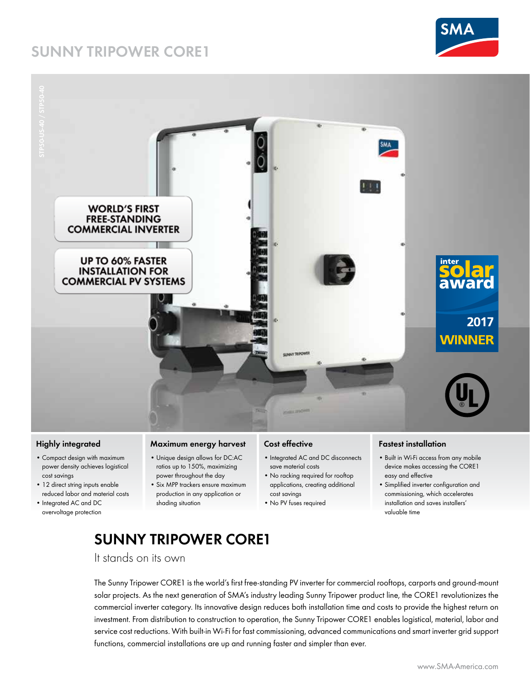## **SUNNY TRIPOWER CORE1**





### **Highly integrated**

- • Compact design with maximum power density achieves logistical cost savings
- 12 direct string inputs enable reduced labor and material costs
- • Integrated AC and DC overvoltage protection

### **Maximum energy harvest**

- • Unique design allows for DC:AC ratios up to 150%, maximizing power throughout the day
- • Six MPP trackers ensure maximum production in any application or
- shading situation

#### **Cost effective**

cost savings • No PV fuses required

- Integrated AC and DC disconnects save material costs
- 
- • No racking required for rooftop applications, creating additional
- device makes accessing the CORE1 easy and effective • Simplified inverter configuration and commissioning, which accelerates

• Built in Wi-Fi access from any mobile

installation and saves installers' valuable time

# **Sunny Tripower CORE1**

It stands on its own

The Sunny Tripower CORE1 is the world's first free-standing PV inverter for commercial rooftops, carports and ground-mount solar projects. As the next generation of SMA's industry leading Sunny Tripower product line, the CORE1 revolutionizes the commercial inverter category. Its innovative design reduces both installation time and costs to provide the highest return on investment. From distribution to construction to operation, the Sunny Tripower CORE1 enables logistical, material, labor and service cost reductions. With built-in Wi-Fi for fast commissioning, advanced communications and smart inverter grid support functions, commercial installations are up and running faster and simpler than ever.